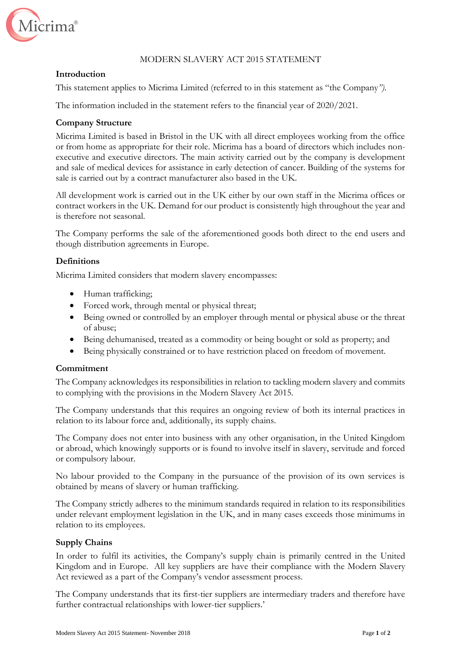

# MODERN SLAVERY ACT 2015 STATEMENT

## **Introduction**

This statement applies to Micrima Limited (referred to in this statement as "the Company*")*.

The information included in the statement refers to the financial year of 2020/2021.

# **Company Structure**

Micrima Limited is based in Bristol in the UK with all direct employees working from the office or from home as appropriate for their role. Micrima has a board of directors which includes nonexecutive and executive directors. The main activity carried out by the company is development and sale of medical devices for assistance in early detection of cancer. Building of the systems for sale is carried out by a contract manufacturer also based in the UK.

All development work is carried out in the UK either by our own staff in the Micrima offices or contract workers in the UK. Demand for our product is consistently high throughout the year and is therefore not seasonal.

The Company performs the sale of the aforementioned goods both direct to the end users and though distribution agreements in Europe.

## **Definitions**

Micrima Limited considers that modern slavery encompasses:

- Human trafficking;
- Forced work, through mental or physical threat;
- Being owned or controlled by an employer through mental or physical abuse or the threat of abuse;
- Being dehumanised, treated as a commodity or being bought or sold as property; and
- Being physically constrained or to have restriction placed on freedom of movement.

### **Commitment**

The Company acknowledges its responsibilities in relation to tackling modern slavery and commits to complying with the provisions in the Modern Slavery Act 2015.

The Company understands that this requires an ongoing review of both its internal practices in relation to its labour force and, additionally, its supply chains.

The Company does not enter into business with any other organisation, in the United Kingdom or abroad, which knowingly supports or is found to involve itself in slavery, servitude and forced or compulsory labour.

No labour provided to the Company in the pursuance of the provision of its own services is obtained by means of slavery or human trafficking.

The Company strictly adheres to the minimum standards required in relation to its responsibilities under relevant employment legislation in the UK, and in many cases exceeds those minimums in relation to its employees.

# **Supply Chains**

In order to fulfil its activities, the Company's supply chain is primarily centred in the United Kingdom and in Europe. All key suppliers are have their compliance with the Modern Slavery Act reviewed as a part of the Company's vendor assessment process.

The Company understands that its first-tier suppliers are intermediary traders and therefore have further contractual relationships with lower-tier suppliers.'